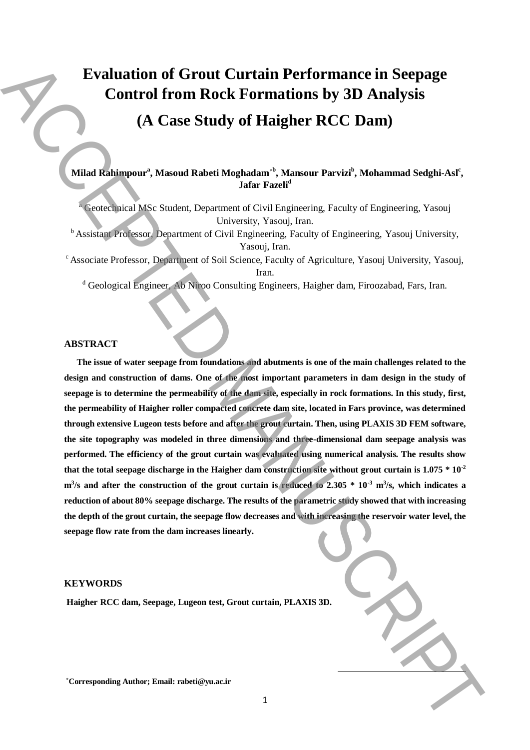# **Evaluation of Grout Curtain Performance in Seepage Control from Rock Formations by 3D Analysis (A Case Study of Haigher RCC Dam)**

Milad Rahimpour<sup>a</sup>, Masoud Rabeti Moghadam<sup>\*b</sup>, Mansour Parvizi<sup>b</sup>, Mohammad Sedghi-Asl<sup>c</sup>, **Jafar Fazeli<sup>d</sup>**

<sup>a</sup> Geotechnical MSc Student, Department of Civil Engineering, Faculty of Engineering, Yasouj University, Yasouj, Iran.

<sup>b</sup> Assistant Professor, Department of Civil Engineering, Faculty of Engineering, Yasouj University, Yasouj, Iran.

<sup>c</sup> Associate Professor, Department of Soil Science, Faculty of Agriculture, Yasouj University, Yasouj, Iran.

<sup>d</sup> Geological Engineer, Ab Niroo Consulting Engineers, Haigher dam, Firoozabad, Fars, Iran.

## **ABSTRACT**

**The issue of water seepage from foundations and abutments is one of the main challenges related to the design and construction of dams. One of the most important parameters in dam design in the study of seepage is to determine the permeability of the dam site, especially in rock formations. In this study, first, the permeability of Haigher roller compacted concrete dam site, located in Fars province, was determined through extensive Lugeon tests before and after the grout curtain. Then, using PLAXIS 3D FEM software, the site topography was modeled in three dimensions and three-dimensional dam seepage analysis was performed. The efficiency of the grout curtain was evaluated using numerical analysis. The results show that the total seepage discharge in the Haigher dam construction site without grout curtain is 1.075 \* 10-2 m<sup>3</sup> /s and after the construction of the grout curtain is reduced to 2.305 \* 10-3 m<sup>3</sup> /s, which indicates a reduction of about 80% seepage discharge. The results of the parametric study showed that with increasing the depth of the grout curtain, the seepage flow decreases and with increasing the reservoir water level, the seepage flow rate from the dam increases linearly. Exaltration of Grout Curtain Performance in Seepage<br>
Control from Rock Formations by 3D Analysis<br>
(A Case Study of Haigher RCC Dam)<br>
(A Case Study of Haigher RCC Dam)<br>
(Manuscriptions Associated Manuscriptic Study of Grap** 

#### **KEYWORDS**

**Haigher RCC dam, Seepage, Lugeon test, Grout curtain, PLAXIS 3D.**

 $\overline{a}$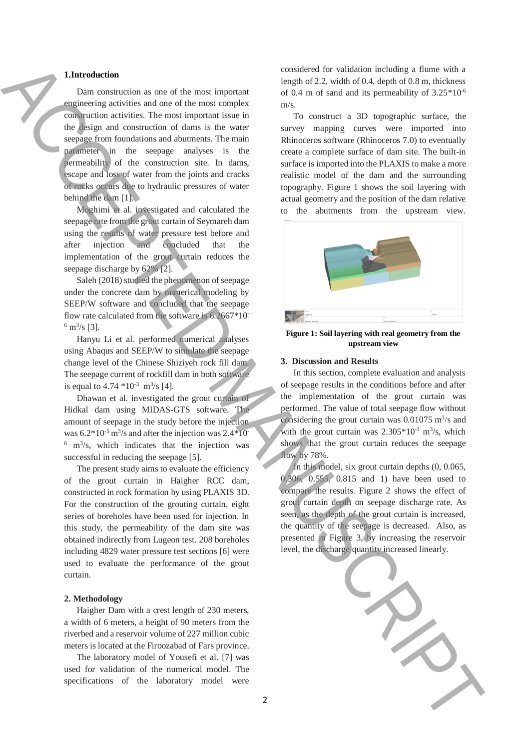## **1.Introduction**

Dam construction as one of the most important engineering activities and one of the most complex construction activities. The most important issue in the design and construction of dams is the water seepage from foundations and abutments. The main parameter in the seepage analyses is the permeability of the construction site. In dams, escape and loss of water from the joints and cracks of rocks occurs due to hydraulic pressures of water behind the dam [1].

Moghimi et al. investigated and calculated the seepage rate from the grout curtain of Seymareh dam using the results of water pressure test before and after injection and concluded that the implementation of the grout curtain reduces the seepage discharge by 62% [2].

Saleh (2018) studied the phenomenon of seepage under the concrete dam by numerical modeling by SEEP/W software and concluded that the seepage flow rate calculated from the software is 6.2667\*10-  $^6$  m<sup>3</sup>/s [3].

Hanyu Li et al. performed numerical analyses using Abaqus and SEEP/W to simulate the seepage change level of the Chinese Shiziyeh rock fill dam. The seepage current of rockfill dam in both software is equal to  $4.74 * 10^{-3}$  m<sup>3</sup>/s [4].

Dhawan et al. investigated the grout curtain of Hidkal dam using MIDAS-GTS software. The amount of seepage in the study before the injection was  $6.2*10<sup>-5</sup>$  m<sup>3</sup>/s and after the injection was  $2.4*10<sup>-5</sup>$  $6 \text{ m}^3$ /s, which indicates that the injection was successful in reducing the seepage [5].

The present study aims to evaluate the efficiency of the grout curtain in Haigher RCC dam, constructed in rock formation by using PLAXIS 3D. For the construction of the grouting curtain, eight series of boreholes have been used for injection. In this study, the permeability of the dam site was obtained indirectly from Lugeon test. 208 boreholes including 4829 water pressure test sections [6] were used to evaluate the performance of the grout curtain.

### **2. Methodology**

Haigher Dam with a crest length of 230 meters, a width of 6 meters, a height of 90 meters from the riverbed and a reservoir volume of 227 million cubic meters is located at the Firoozabad of Fars province.

The laboratory model of Yousefi et al. [7] was used for validation of the numerical model. The specifications of the laboratory model were

considered for validation including a flume with a length of 2.2, width of 0.4, depth of 0.8 m, thickness of 0.4 m of sand and its permeability of  $3.25*10^{-6}$ m/s.

To construct a 3D topographic surface, the survey mapping curves were imported into Rhinoceros software (Rhinoceros 7.0) to eventually create a complete surface of dam site. The built-in surface is imported into the PLAXIS to make a more realistic model of the dam and the surrounding topography. Figure 1 shows the soil layering with actual geometry and the position of the dam relative to the abutments from the upstream view.



**Figure 1: Soil layering with real geometry from the upstream view**

#### **3. Discussion and Results**

In this section, complete evaluation and analysis of seepage results in the conditions before and after the implementation of the grout curtain was performed. The value of total seepage flow without considering the grout curtain was  $0.01075$  m<sup>3</sup>/s and with the grout curtain was  $2.305*10<sup>-3</sup>$  m<sup>3</sup>/s, which shows that the grout curtain reduces the seepage flow by 78%.

In this model, six grout curtain depths (0, 0.065, 0.306, 0.555, 0.815 and 1) have been used to compare the results. Figure 2 shows the effect of grout curtain depth on seepage discharge rate. As seen, as the depth of the grout curtain is increased, the quantity of the seepage is decreased. Also, as presented in Figure 3, by increasing the reservoir